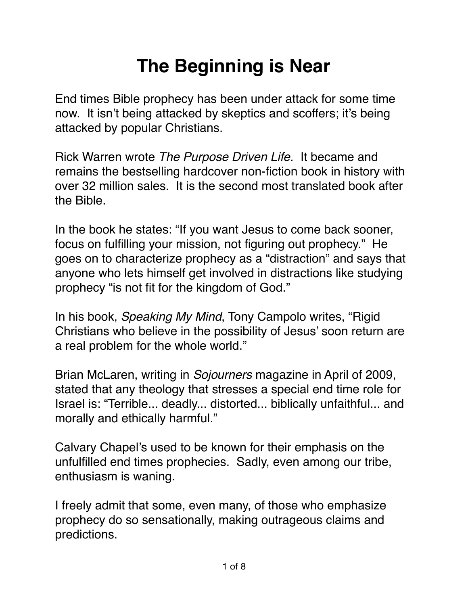## **The Beginning is Near**

End times Bible prophecy has been under attack for some time now. It isn't being attacked by skeptics and scoffers; it's being attacked by popular Christians.

Rick Warren wrote *The Purpose Driven Life.* It became and remains the bestselling hardcover non-fiction book in history with over 32 million sales. It is the second most translated book after the Bible.

In the book he states: "If you want Jesus to come back sooner, focus on fulfilling your mission, not figuring out prophecy." He goes on to characterize prophecy as a "distraction" and says that anyone who lets himself get involved in distractions like studying prophecy "is not fit for the kingdom of God."

In his book, *Speaking My Mind*, Tony Campolo writes, "Rigid Christians who believe in the possibility of Jesus' soon return are a real problem for the whole world."

Brian McLaren, writing in *Sojourners* magazine in April of 2009, stated that any theology that stresses a special end time role for Israel is: "Terrible... deadly... distorted... biblically unfaithful... and morally and ethically harmful."

Calvary Chapel's used to be known for their emphasis on the unfulfilled end times prophecies. Sadly, even among our tribe, enthusiasm is waning.

I freely admit that some, even many, of those who emphasize prophecy do so sensationally, making outrageous claims and predictions.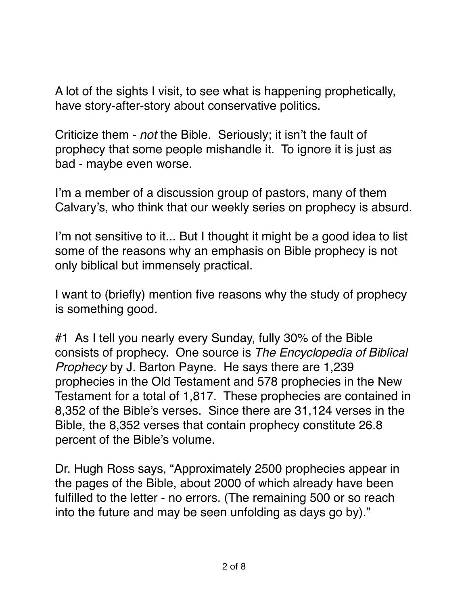A lot of the sights I visit, to see what is happening prophetically, have story-after-story about conservative politics.

Criticize them - *not* the Bible. Seriously; it isn't the fault of prophecy that some people mishandle it. To ignore it is just as bad - maybe even worse.

I'm a member of a discussion group of pastors, many of them Calvary's, who think that our weekly series on prophecy is absurd.

I'm not sensitive to it... But I thought it might be a good idea to list some of the reasons why an emphasis on Bible prophecy is not only biblical but immensely practical.

I want to (briefly) mention five reasons why the study of prophecy is something good.

#1 As I tell you nearly every Sunday, fully 30% of the Bible consists of prophecy. One source is *The Encyclopedia of Biblical Prophecy* by J. Barton Payne. He says there are 1,239 prophecies in the Old Testament and 578 prophecies in the New Testament for a total of 1,817. These prophecies are contained in 8,352 of the Bible's verses. Since there are 31,124 verses in the Bible, the 8,352 verses that contain prophecy constitute 26.8 percent of the Bible's volume.

Dr. Hugh Ross says, "Approximately 2500 prophecies appear in the pages of the Bible, about 2000 of which already have been fulfilled to the letter - no errors. (The remaining 500 or so reach into the future and may be seen unfolding as days go by)."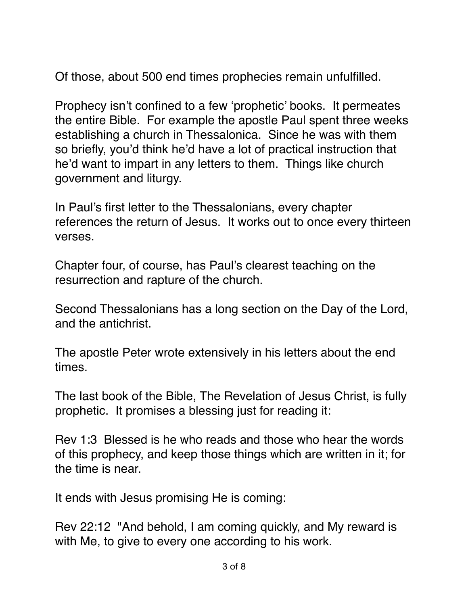Of those, about 500 end times prophecies remain unfulfilled.

Prophecy isn't confined to a few 'prophetic' books. It permeates the entire Bible. For example the apostle Paul spent three weeks establishing a church in Thessalonica. Since he was with them so briefly, you'd think he'd have a lot of practical instruction that he'd want to impart in any letters to them. Things like church government and liturgy.

In Paul's first letter to the Thessalonians, every chapter references the return of Jesus. It works out to once every thirteen verses.

Chapter four, of course, has Paul's clearest teaching on the resurrection and rapture of the church.

Second Thessalonians has a long section on the Day of the Lord, and the antichrist.

The apostle Peter wrote extensively in his letters about the end times.

The last book of the Bible, The Revelation of Jesus Christ, is fully prophetic. It promises a blessing just for reading it:

Rev 1:3 Blessed is he who reads and those who hear the words of this prophecy, and keep those things which are written in it; for the time is near.

It ends with Jesus promising He is coming:

Rev 22:12 "And behold, I am coming quickly, and My reward is with Me, to give to every one according to his work.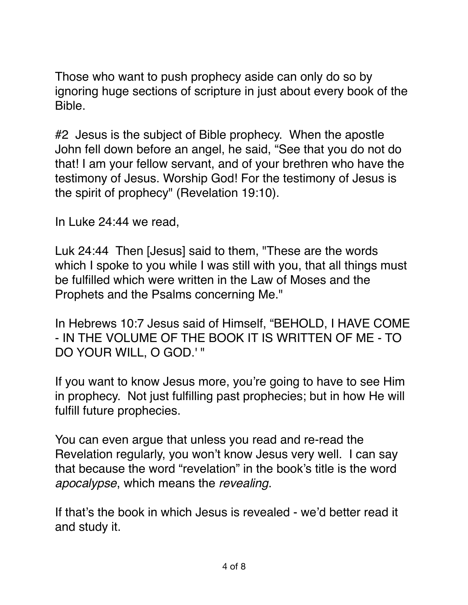Those who want to push prophecy aside can only do so by ignoring huge sections of scripture in just about every book of the Bible.

#2 Jesus is the subject of Bible prophecy. When the apostle John fell down before an angel, he said, "See that you do not do that! I am your fellow servant, and of your brethren who have the testimony of Jesus. Worship God! For the testimony of Jesus is the spirit of prophecy" (Revelation 19:10).

In Luke 24:44 we read,

Luk 24:44 Then [Jesus] said to them, "These are the words which I spoke to you while I was still with you, that all things must be fulfilled which were written in the Law of Moses and the Prophets and the Psalms concerning Me."

In Hebrews 10:7 Jesus said of Himself, "BEHOLD, I HAVE COME - IN THE VOLUME OF THE BOOK IT IS WRITTEN OF ME - TO DO YOUR WILL, O GOD.' "

If you want to know Jesus more, you're going to have to see Him in prophecy. Not just fulfilling past prophecies; but in how He will fulfill future prophecies.

You can even argue that unless you read and re-read the Revelation regularly, you won't know Jesus very well. I can say that because the word "revelation" in the book's title is the word *apocalypse*, which means the *revealing*.

If that's the book in which Jesus is revealed - we'd better read it and study it.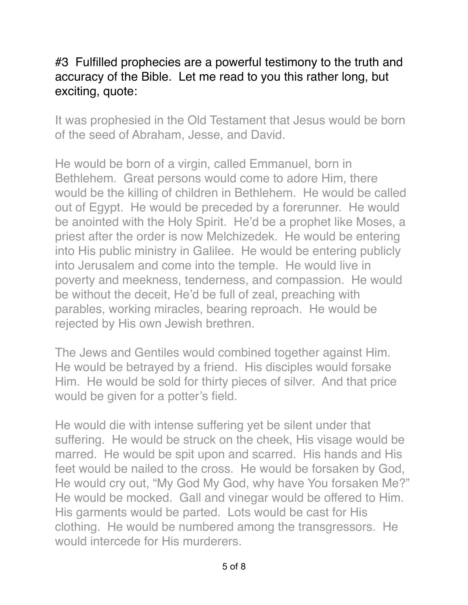## #3 Fulfilled prophecies are a powerful testimony to the truth and accuracy of the Bible. Let me read to you this rather long, but exciting, quote:

It was prophesied in the Old Testament that Jesus would be born of the seed of Abraham, Jesse, and David.

He would be born of a virgin, called Emmanuel, born in Bethlehem. Great persons would come to adore Him, there would be the killing of children in Bethlehem. He would be called out of Egypt. He would be preceded by a forerunner. He would be anointed with the Holy Spirit. He'd be a prophet like Moses, a priest after the order is now Melchizedek. He would be entering into His public ministry in Galilee. He would be entering publicly into Jerusalem and come into the temple. He would live in poverty and meekness, tenderness, and compassion. He would be without the deceit, He'd be full of zeal, preaching with parables, working miracles, bearing reproach. He would be rejected by His own Jewish brethren.

The Jews and Gentiles would combined together against Him. He would be betrayed by a friend. His disciples would forsake Him. He would be sold for thirty pieces of silver. And that price would be given for a potter's field.

He would die with intense suffering yet be silent under that suffering. He would be struck on the cheek, His visage would be marred. He would be spit upon and scarred. His hands and His feet would be nailed to the cross. He would be forsaken by God, He would cry out, "My God My God, why have You forsaken Me?" He would be mocked. Gall and vinegar would be offered to Him. His garments would be parted. Lots would be cast for His clothing. He would be numbered among the transgressors. He would intercede for His murderers.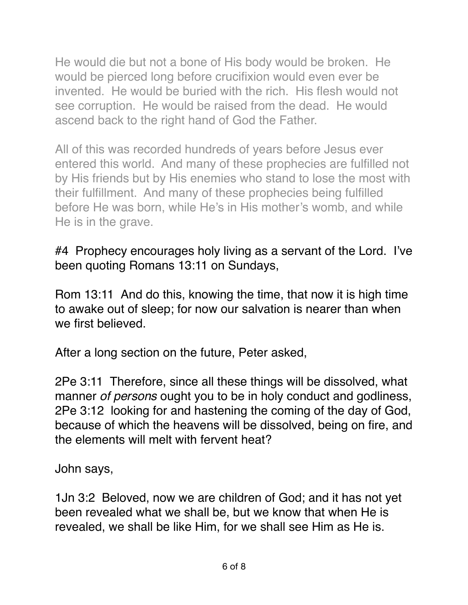He would die but not a bone of His body would be broken. He would be pierced long before crucifixion would even ever be invented. He would be buried with the rich. His flesh would not see corruption. He would be raised from the dead. He would ascend back to the right hand of God the Father.

All of this was recorded hundreds of years before Jesus ever entered this world. And many of these prophecies are fulfilled not by His friends but by His enemies who stand to lose the most with their fulfillment. And many of these prophecies being fulfilled before He was born, while He's in His mother's womb, and while He is in the grave.

#4 Prophecy encourages holy living as a servant of the Lord. I've been quoting Romans 13:11 on Sundays,

Rom 13:11 And do this, knowing the time, that now it is high time to awake out of sleep; for now our salvation is nearer than when we first believed.

After a long section on the future, Peter asked,

[2Pe 3:11](verseid:61.3.11) Therefore, since all these things will be dissolved, what manner *of persons* ought you to be in holy conduct and godliness, [2Pe 3:12](verseid:61.3.12) looking for and hastening the coming of the day of God, because of which the heavens will be dissolved, being on fire, and the elements will melt with fervent heat?

John says,

[1Jn 3:2](verseid:62.3.2) Beloved, now we are children of God; and it has not yet been revealed what we shall be, but we know that when He is revealed, we shall be like Him, for we shall see Him as He is.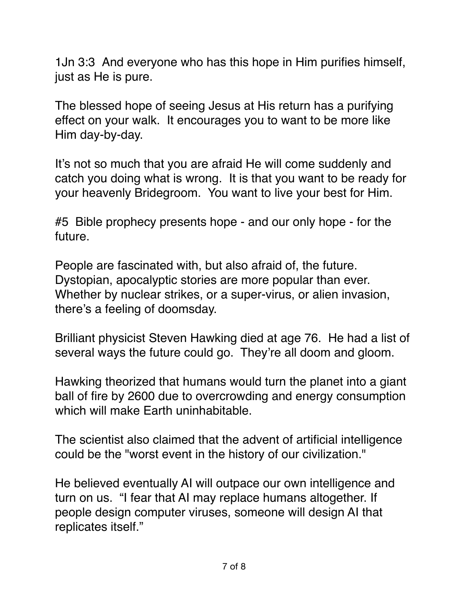[1Jn 3:3](verseid:62.3.3) And everyone who has this hope in Him purifies himself, just as He is pure.

The blessed hope of seeing Jesus at His return has a purifying effect on your walk. It encourages you to want to be more like Him day-by-day.

It's not so much that you are afraid He will come suddenly and catch you doing what is wrong. It is that you want to be ready for your heavenly Bridegroom. You want to live your best for Him.

#5 Bible prophecy presents hope - and our only hope - for the future.

People are fascinated with, but also afraid of, the future. Dystopian, apocalyptic stories are more popular than ever. Whether by nuclear strikes, or a super-virus, or alien invasion, there's a feeling of doomsday.

Brilliant physicist Steven Hawking died at age 76. He had a list of several ways the future could go. They're all doom and gloom.

Hawking theorized that humans would turn the planet into a [giant](https://www.cnbc.com/2017/11/07/stephen-hawking-humans-will-turn-earth-into-a-giant-ball-of-fire-by-2600.html)  [ball of fire by 2600](https://www.cnbc.com/2017/11/07/stephen-hawking-humans-will-turn-earth-into-a-giant-ball-of-fire-by-2600.html) due to overcrowding and energy consumption which will make Earth uninhabitable.

The scientist also claimed that the advent of artificial intelligence could be the "worst event in the history of our civilization."

He believed eventually AI will outpace our own intelligence and turn on us. "I fear that AI may replace humans altogether. If people design computer viruses, someone will design AI that replicates itself."